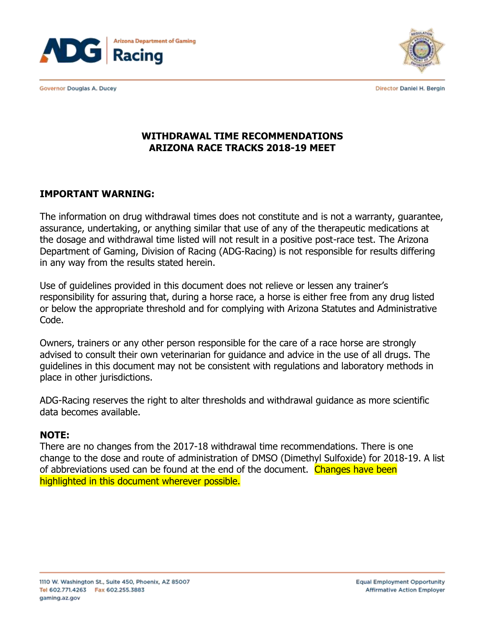

Governor Douglas A. Ducey



Director Daniel H. Bergin

## **WITHDRAWAL TIME RECOMMENDATIONS ARIZONA RACE TRACKS 2018-19 MEET**

### **IMPORTANT WARNING:**

The information on drug withdrawal times does not constitute and is not a warranty, guarantee, assurance, undertaking, or anything similar that use of any of the therapeutic medications at the dosage and withdrawal time listed will not result in a positive post-race test. The Arizona Department of Gaming, Division of Racing (ADG-Racing) is not responsible for results differing in any way from the results stated herein.

Use of guidelines provided in this document does not relieve or lessen any trainer's responsibility for assuring that, during a horse race, a horse is either free from any drug listed or below the appropriate threshold and for complying with Arizona Statutes and Administrative Code.

Owners, trainers or any other person responsible for the care of a race horse are strongly advised to consult their own veterinarian for guidance and advice in the use of all drugs. The guidelines in this document may not be consistent with regulations and laboratory methods in place in other jurisdictions.

ADG-Racing reserves the right to alter thresholds and withdrawal guidance as more scientific data becomes available.

### **NOTE:**

There are no changes from the 2017-18 withdrawal time recommendations. There is one change to the dose and route of administration of DMSO (Dimethyl Sulfoxide) for 2018-19. A list of abbreviations used can be found at the end of the document. Changes have been highlighted in this document wherever possible.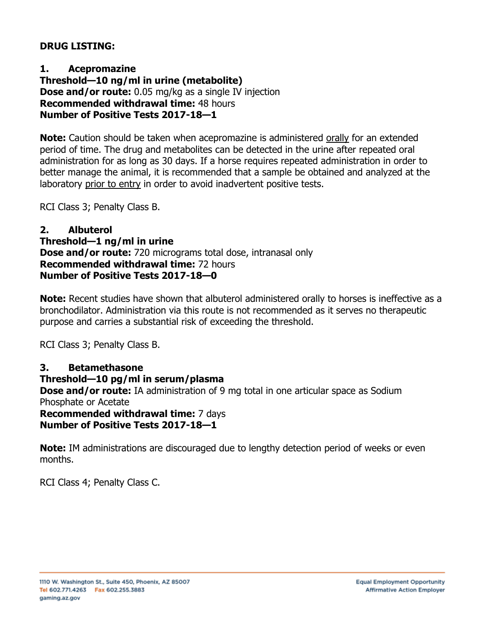### **DRUG LISTING:**

**1. Acepromazine Threshold—10 ng/ml in urine (metabolite) Dose and/or route:** 0.05 mg/kg as a single IV injection **Recommended withdrawal time:** 48 hours **Number of Positive Tests 2017-18—1**

**Note:** Caution should be taken when acepromazine is administered orally for an extended period of time. The drug and metabolites can be detected in the urine after repeated oral administration for as long as 30 days. If a horse requires repeated administration in order to better manage the animal, it is recommended that a sample be obtained and analyzed at the laboratory prior to entry in order to avoid inadvertent positive tests.

RCI Class 3; Penalty Class B.

#### **2. Albuterol Threshold—1 ng/ml in urine Dose and/or route:** 720 micrograms total dose, intranasal only **Recommended withdrawal time:** 72 hours **Number of Positive Tests 2017-18—0**

**Note:** Recent studies have shown that albuterol administered orally to horses is ineffective as a bronchodilator. Administration via this route is not recommended as it serves no therapeutic purpose and carries a substantial risk of exceeding the threshold.

RCI Class 3; Penalty Class B.

## **3. Betamethasone**

### **Threshold—10 pg/ml in serum/plasma**

**Dose and/or route:** IA administration of 9 mg total in one articular space as Sodium Phosphate or Acetate

**Recommended withdrawal time:** 7 days **Number of Positive Tests 2017-18—1**

**Note:** IM administrations are discouraged due to lengthy detection period of weeks or even months.

RCI Class 4; Penalty Class C.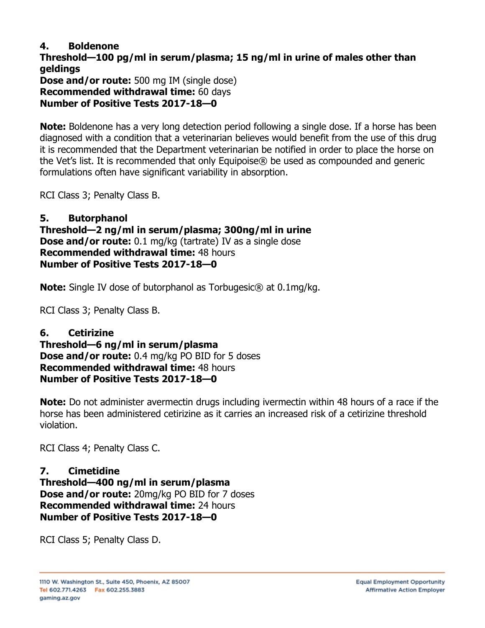### **4. Boldenone**

**Threshold—100 pg/ml in serum/plasma; 15 ng/ml in urine of males other than geldings Dose and/or route:** 500 mg IM (single dose) **Recommended withdrawal time:** 60 days **Number of Positive Tests 2017-18—0**

**Note:** Boldenone has a very long detection period following a single dose. If a horse has been diagnosed with a condition that a veterinarian believes would benefit from the use of this drug it is recommended that the Department veterinarian be notified in order to place the horse on the Vet's list. It is recommended that only Equipoise® be used as compounded and generic formulations often have significant variability in absorption.

RCI Class 3; Penalty Class B.

#### **5. Butorphanol Threshold—2 ng/ml in serum/plasma; 300ng/ml in urine Dose and/or route:** 0.1 mg/kg (tartrate) IV as a single dose **Recommended withdrawal time:** 48 hours **Number of Positive Tests 2017-18—0**

**Note:** Single IV dose of butorphanol as Torbugesic<sup>®</sup> at 0.1mg/kg.

RCI Class 3; Penalty Class B.

## **6. Cetirizine**

**Threshold—6 ng/ml in serum/plasma Dose and/or route:** 0.4 mg/kg PO BID for 5 doses **Recommended withdrawal time:** 48 hours **Number of Positive Tests 2017-18—0**

**Note:** Do not administer avermectin drugs including ivermectin within 48 hours of a race if the horse has been administered cetirizine as it carries an increased risk of a cetirizine threshold violation.

RCI Class 4; Penalty Class C.

## **7. Cimetidine**

**Threshold—400 ng/ml in serum/plasma Dose and/or route:** 20mg/kg PO BID for 7 doses **Recommended withdrawal time:** 24 hours **Number of Positive Tests 2017-18—0**

RCI Class 5; Penalty Class D.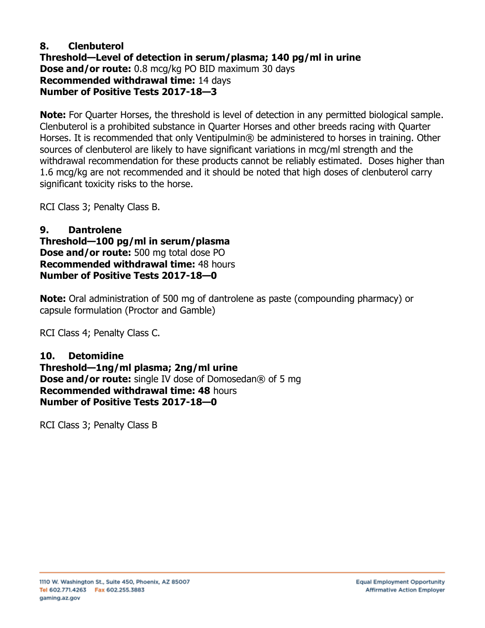### **8. Clenbuterol Threshold—Level of detection in serum/plasma; 140 pg/ml in urine Dose and/or route:** 0.8 mcg/kg PO BID maximum 30 days **Recommended withdrawal time:** 14 days **Number of Positive Tests 2017-18—3**

**Note:** For Quarter Horses, the threshold is level of detection in any permitted biological sample. Clenbuterol is a prohibited substance in Quarter Horses and other breeds racing with Quarter Horses. It is recommended that only Ventipulmin® be administered to horses in training. Other sources of clenbuterol are likely to have significant variations in mcg/ml strength and the withdrawal recommendation for these products cannot be reliably estimated. Doses higher than 1.6 mcg/kg are not recommended and it should be noted that high doses of clenbuterol carry significant toxicity risks to the horse.

RCI Class 3; Penalty Class B.

#### **9. Dantrolene Threshold—100 pg/ml in serum/plasma Dose and/or route:** 500 mg total dose PO **Recommended withdrawal time:** 48 hours **Number of Positive Tests 2017-18—0**

**Note:** Oral administration of 500 mg of dantrolene as paste (compounding pharmacy) or capsule formulation (Proctor and Gamble)

RCI Class 4; Penalty Class C.

#### **10. Detomidine Threshold—1ng/ml plasma; 2ng/ml urine Dose and/or route:** single IV dose of Domosedan® of 5 mg **Recommended withdrawal time: 48** hours **Number of Positive Tests 2017-18—0**

RCI Class 3; Penalty Class B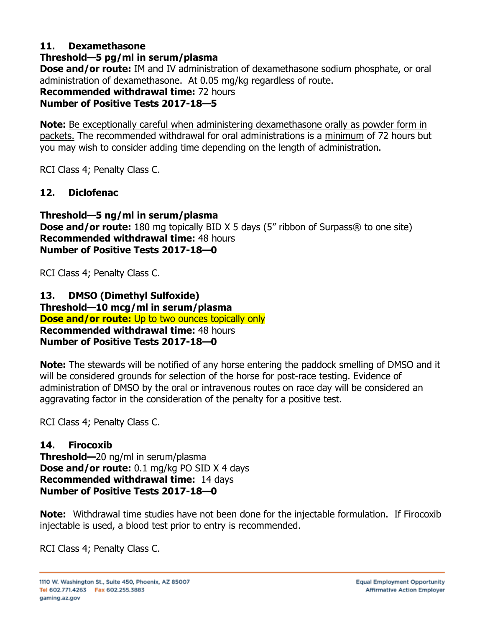## **11. Dexamethasone**

# **Threshold—5 pg/ml in serum/plasma**

**Dose and/or route:** IM and IV administration of dexamethasone sodium phosphate, or oral administration of dexamethasone. At 0.05 mg/kg regardless of route.

**Recommended withdrawal time:** 72 hours

# **Number of Positive Tests 2017-18—5**

**Note:** Be exceptionally careful when administering dexamethasone orally as powder form in packets. The recommended withdrawal for oral administrations is a minimum of 72 hours but you may wish to consider adding time depending on the length of administration.

RCI Class 4; Penalty Class C.

# **12. Diclofenac**

**Threshold—5 ng/ml in serum/plasma Dose and/or route:** 180 mg topically BID X 5 days (5" ribbon of Surpass® to one site) **Recommended withdrawal time:** 48 hours **Number of Positive Tests 2017-18—0**

RCI Class 4; Penalty Class C.

**13. DMSO (Dimethyl Sulfoxide) Threshold—10 mcg/ml in serum/plasma Dose and/or route:** Up to two ounces topically only **Recommended withdrawal time:** 48 hours **Number of Positive Tests 2017-18—0**

**Note:** The stewards will be notified of any horse entering the paddock smelling of DMSO and it will be considered grounds for selection of the horse for post-race testing. Evidence of administration of DMSO by the oral or intravenous routes on race day will be considered an aggravating factor in the consideration of the penalty for a positive test.

RCI Class 4; Penalty Class C.

# **14. Firocoxib**

**Threshold—**20 ng/ml in serum/plasma **Dose and/or route:** 0.1 mg/kg PO SID X 4 days **Recommended withdrawal time:** 14 days **Number of Positive Tests 2017-18—0** 

**Note:** Withdrawal time studies have not been done for the injectable formulation. If Firocoxib injectable is used, a blood test prior to entry is recommended.

RCI Class 4; Penalty Class C.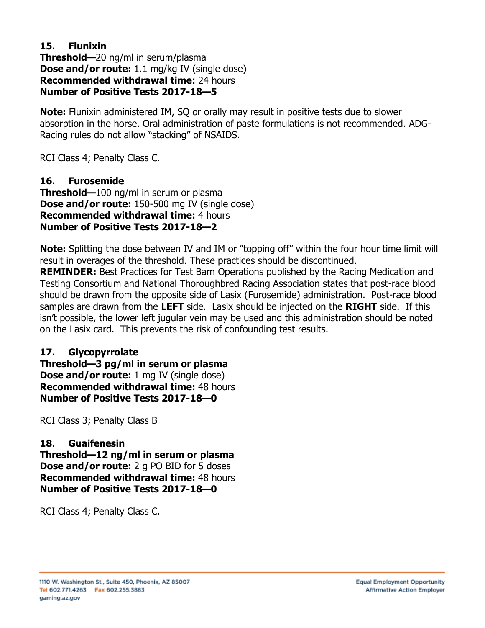### **15. Flunixin Threshold—**20 ng/ml in serum/plasma **Dose and/or route:** 1.1 mg/kg IV (single dose) **Recommended withdrawal time:** 24 hours **Number of Positive Tests 2017-18—5**

**Note:** Flunixin administered IM, SQ or orally may result in positive tests due to slower absorption in the horse. Oral administration of paste formulations is not recommended. ADG-Racing rules do not allow "stacking" of NSAIDS.

RCI Class 4; Penalty Class C.

**16. Furosemide Threshold—**100 ng/ml in serum or plasma **Dose and/or route:** 150-500 mg IV (single dose) **Recommended withdrawal time:** 4 hours **Number of Positive Tests 2017-18—2**

**Note:** Splitting the dose between IV and IM or "topping off" within the four hour time limit will result in overages of the threshold. These practices should be discontinued.

**REMINDER:** Best Practices for Test Barn Operations published by the Racing Medication and Testing Consortium and National Thoroughbred Racing Association states that post-race blood should be drawn from the opposite side of Lasix (Furosemide) administration. Post-race blood samples are drawn from the **LEFT** side. Lasix should be injected on the **RIGHT** side. If this isn't possible, the lower left jugular vein may be used and this administration should be noted on the Lasix card. This prevents the risk of confounding test results.

# **17. Glycopyrrolate**

**Threshold—3 pg/ml in serum or plasma Dose and/or route:** 1 mg IV (single dose) **Recommended withdrawal time:** 48 hours **Number of Positive Tests 2017-18—0**

RCI Class 3; Penalty Class B

# **18. Guaifenesin**

**Threshold—12 ng/ml in serum or plasma Dose and/or route:** 2 g PO BID for 5 doses **Recommended withdrawal time:** 48 hours **Number of Positive Tests 2017-18—0**

RCI Class 4; Penalty Class C.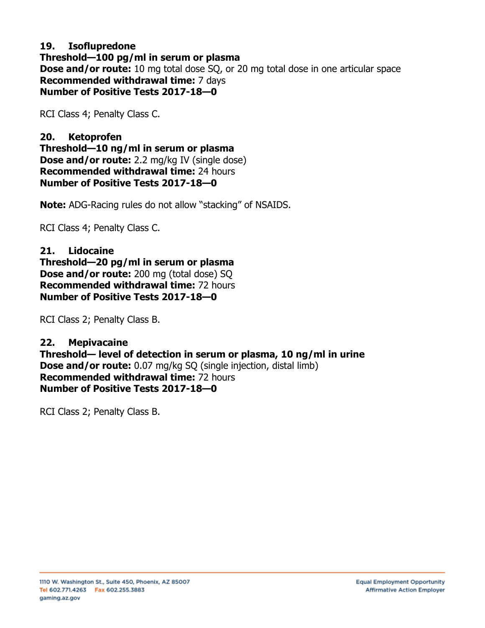### **19. Isoflupredone Threshold—100 pg/ml in serum or plasma Dose and/or route:** 10 mg total dose SQ, or 20 mg total dose in one articular space **Recommended withdrawal time:** 7 days **Number of Positive Tests 2017-18—0**

RCI Class 4; Penalty Class C.

**20. Ketoprofen Threshold—10 ng/ml in serum or plasma Dose and/or route:** 2.2 mg/kg IV (single dose) **Recommended withdrawal time:** 24 hours **Number of Positive Tests 2017-18—0**

**Note:** ADG-Racing rules do not allow "stacking" of NSAIDS.

RCI Class 4; Penalty Class C.

**21. Lidocaine Threshold—20 pg/ml in serum or plasma Dose and/or route:** 200 mg (total dose) SQ **Recommended withdrawal time:** 72 hours **Number of Positive Tests 2017-18—0**

RCI Class 2; Penalty Class B.

**22. Mepivacaine Threshold— level of detection in serum or plasma, 10 ng/ml in urine Dose and/or route:** 0.07 mg/kg SQ (single injection, distal limb) **Recommended withdrawal time:** 72 hours **Number of Positive Tests 2017-18—0**

RCI Class 2; Penalty Class B.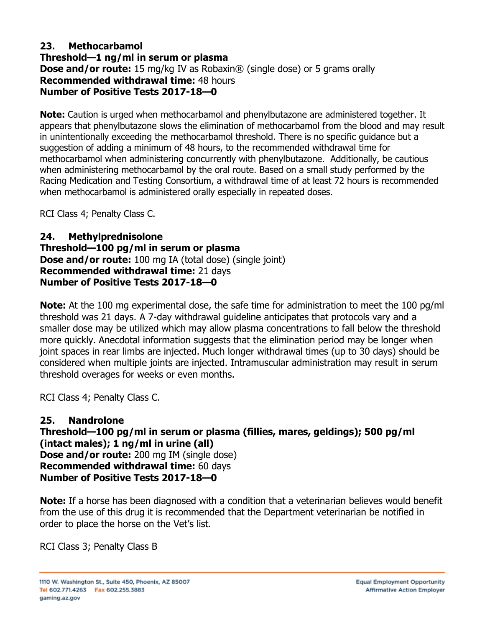### **23. Methocarbamol Threshold—1 ng/ml in serum or plasma Dose and/or route:** 15 mg/kg IV as Robaxin® (single dose) or 5 grams orally **Recommended withdrawal time:** 48 hours **Number of Positive Tests 2017-18—0**

**Note:** Caution is urged when methocarbamol and phenylbutazone are administered together. It appears that phenylbutazone slows the elimination of methocarbamol from the blood and may result in unintentionally exceeding the methocarbamol threshold. There is no specific guidance but a suggestion of adding a minimum of 48 hours, to the recommended withdrawal time for methocarbamol when administering concurrently with phenylbutazone. Additionally, be cautious when administering methocarbamol by the oral route. Based on a small study performed by the Racing Medication and Testing Consortium, a withdrawal time of at least 72 hours is recommended when methocarbamol is administered orally especially in repeated doses.

RCI Class 4; Penalty Class C.

### **24. Methylprednisolone Threshold—100 pg/ml in serum or plasma Dose and/or route:** 100 mg IA (total dose) (single joint) **Recommended withdrawal time:** 21 days **Number of Positive Tests 2017-18—0**

**Note:** At the 100 mg experimental dose, the safe time for administration to meet the 100 pg/ml threshold was 21 days. A 7-day withdrawal guideline anticipates that protocols vary and a smaller dose may be utilized which may allow plasma concentrations to fall below the threshold more quickly. Anecdotal information suggests that the elimination period may be longer when joint spaces in rear limbs are injected. Much longer withdrawal times (up to 30 days) should be considered when multiple joints are injected. Intramuscular administration may result in serum threshold overages for weeks or even months.

RCI Class 4; Penalty Class C.

# **25. Nandrolone**

**Threshold—100 pg/ml in serum or plasma (fillies, mares, geldings); 500 pg/ml (intact males); 1 ng/ml in urine (all) Dose and/or route:** 200 mg IM (single dose) **Recommended withdrawal time:** 60 days **Number of Positive Tests 2017-18—0**

**Note:** If a horse has been diagnosed with a condition that a veterinarian believes would benefit from the use of this drug it is recommended that the Department veterinarian be notified in order to place the horse on the Vet's list.

RCI Class 3; Penalty Class B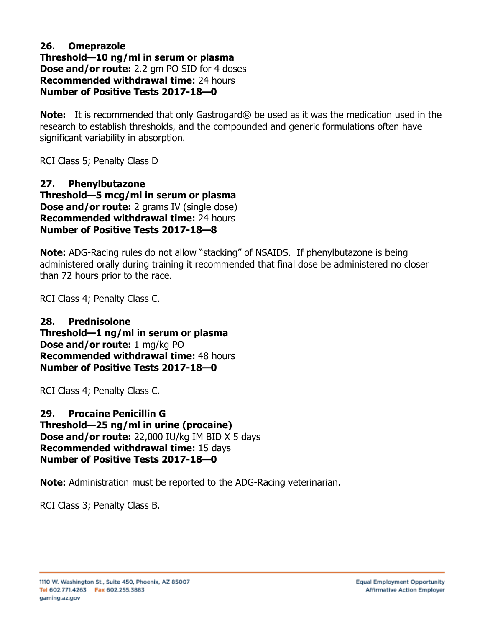#### **26. Omeprazole Threshold—10 ng/ml in serum or plasma Dose and/or route:** 2.2 gm PO SID for 4 doses **Recommended withdrawal time:** 24 hours **Number of Positive Tests 2017-18—0**

**Note:** It is recommended that only Gastrogard® be used as it was the medication used in the research to establish thresholds, and the compounded and generic formulations often have significant variability in absorption.

RCI Class 5; Penalty Class D

**27. Phenylbutazone Threshold—5 mcg/ml in serum or plasma Dose and/or route:** 2 grams IV (single dose) **Recommended withdrawal time:** 24 hours **Number of Positive Tests 2017-18—8**

**Note:** ADG-Racing rules do not allow "stacking" of NSAIDS. If phenylbutazone is being administered orally during training it recommended that final dose be administered no closer than 72 hours prior to the race.

RCI Class 4; Penalty Class C.

**28. Prednisolone Threshold—1 ng/ml in serum or plasma Dose and/or route:** 1 mg/kg PO **Recommended withdrawal time:** 48 hours **Number of Positive Tests 2017-18—0**

RCI Class 4; Penalty Class C.

**29. Procaine Penicillin G Threshold—25 ng/ml in urine (procaine) Dose and/or route:** 22,000 IU/kg IM BID X 5 days **Recommended withdrawal time:** 15 days **Number of Positive Tests 2017-18—0**

**Note:** Administration must be reported to the ADG-Racing veterinarian.

RCI Class 3; Penalty Class B.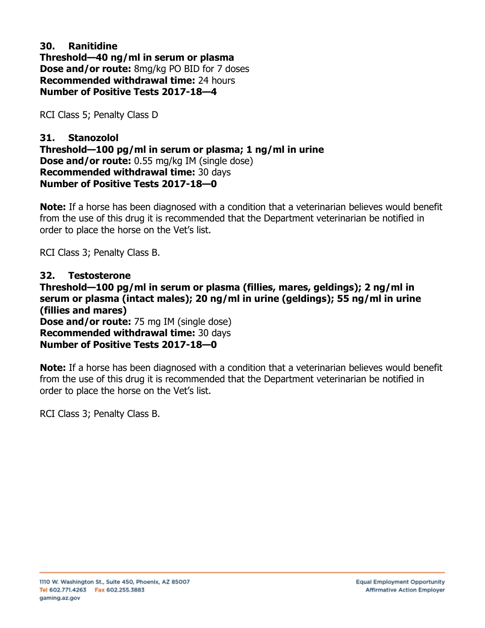### **30. Ranitidine Threshold—40 ng/ml in serum or plasma Dose and/or route:** 8mg/kg PO BID for 7 doses **Recommended withdrawal time:** 24 hours **Number of Positive Tests 2017-18—4**

RCI Class 5; Penalty Class D

### **31. Stanozolol Threshold—100 pg/ml in serum or plasma; 1 ng/ml in urine Dose and/or route:** 0.55 mg/kg IM (single dose) **Recommended withdrawal time:** 30 days **Number of Positive Tests 2017-18—0**

**Note:** If a horse has been diagnosed with a condition that a veterinarian believes would benefit from the use of this drug it is recommended that the Department veterinarian be notified in order to place the horse on the Vet's list.

RCI Class 3; Penalty Class B.

#### **32. Testosterone Threshold—100 pg/ml in serum or plasma (fillies, mares, geldings); 2 ng/ml in serum or plasma (intact males); 20 ng/ml in urine (geldings); 55 ng/ml in urine (fillies and mares) Dose and/or route:** 75 mg IM (single dose) **Recommended withdrawal time:** 30 days **Number of Positive Tests 2017-18—0**

**Note:** If a horse has been diagnosed with a condition that a veterinarian believes would benefit from the use of this drug it is recommended that the Department veterinarian be notified in order to place the horse on the Vet's list.

RCI Class 3; Penalty Class B.